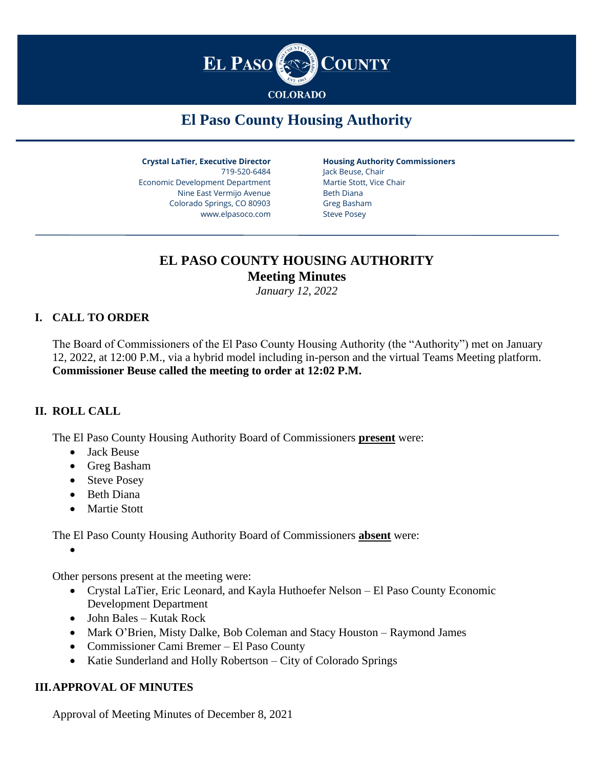

# **El Paso County Housing Authority**

**Crystal LaTier, Executive Director** 719-520-6484 Economic Development Department Nine East Vermijo Avenue Colorado Springs, CO 80903 www.elpasoco.com

**Housing Authority Commissioners** Jack Beuse, Chair Martie Stott, Vice Chair Beth Diana Greg Basham

Steve Posey

# **EL PASO COUNTY HOUSING AUTHORITY Meeting Minutes**

*January 12, 2022*

# **I. CALL TO ORDER**

The Board of Commissioners of the El Paso County Housing Authority (the "Authority") met on January 12, 2022, at 12:00 P.M., via a hybrid model including in-person and the virtual Teams Meeting platform. **Commissioner Beuse called the meeting to order at 12:02 P.M.**

## **II. ROLL CALL**

The El Paso County Housing Authority Board of Commissioners **present** were:

- Jack Beuse
- Greg Basham
- Steve Posey
- Beth Diana
- Martie Stott

The El Paso County Housing Authority Board of Commissioners **absent** were:

•

Other persons present at the meeting were:

- Crystal LaTier, Eric Leonard, and Kayla Huthoefer Nelson El Paso County Economic Development Department
- John Bales Kutak Rock
- Mark O'Brien, Misty Dalke, Bob Coleman and Stacy Houston Raymond James
- Commissioner Cami Bremer El Paso County
- Katie Sunderland and Holly Robertson City of Colorado Springs

#### **III.APPROVAL OF MINUTES**

Approval of Meeting Minutes of December 8, 2021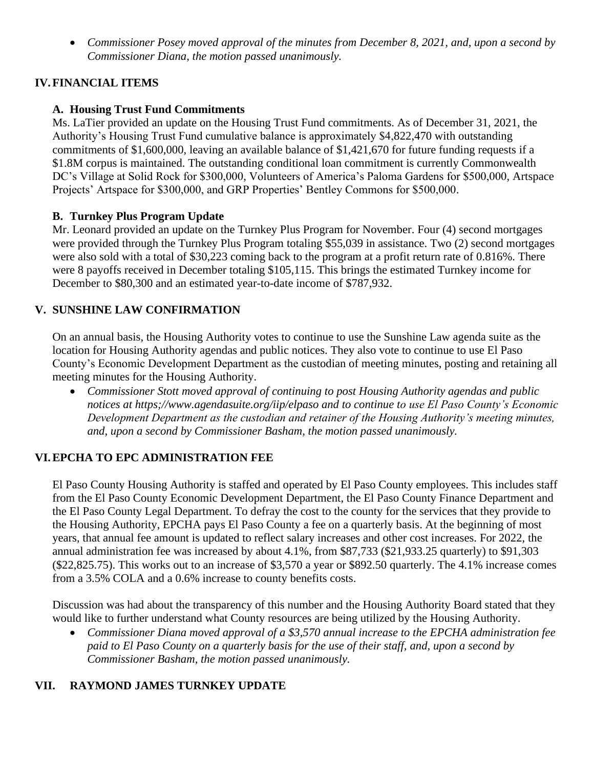• *Commissioner Posey moved approval of the minutes from December 8, 2021, and, upon a second by Commissioner Diana, the motion passed unanimously.* 

## **IV.FINANCIAL ITEMS**

#### **A. Housing Trust Fund Commitments**

Ms. LaTier provided an update on the Housing Trust Fund commitments. As of December 31, 2021, the Authority's Housing Trust Fund cumulative balance is approximately \$4,822,470 with outstanding commitments of \$1,600,000, leaving an available balance of \$1,421,670 for future funding requests if a \$1.8M corpus is maintained. The outstanding conditional loan commitment is currently Commonwealth DC's Village at Solid Rock for \$300,000, Volunteers of America's Paloma Gardens for \$500,000, Artspace Projects' Artspace for \$300,000, and GRP Properties' Bentley Commons for \$500,000.

#### **B. Turnkey Plus Program Update**

Mr. Leonard provided an update on the Turnkey Plus Program for November. Four (4) second mortgages were provided through the Turnkey Plus Program totaling \$55,039 in assistance. Two (2) second mortgages were also sold with a total of \$30,223 coming back to the program at a profit return rate of 0.816%. There were 8 payoffs received in December totaling \$105,115. This brings the estimated Turnkey income for December to \$80,300 and an estimated year-to-date income of \$787,932.

#### **V. SUNSHINE LAW CONFIRMATION**

On an annual basis, the Housing Authority votes to continue to use the Sunshine Law agenda suite as the location for Housing Authority agendas and public notices. They also vote to continue to use El Paso County's Economic Development Department as the custodian of meeting minutes, posting and retaining all meeting minutes for the Housing Authority.

• *Commissioner Stott moved approval of continuing to post Housing Authority agendas and public notices at https;//www.agendasuite.org/iip/elpaso and to continue to use El Paso County's Economic Development Department as the custodian and retainer of the Housing Authority's meeting minutes, and, upon a second by Commissioner Basham, the motion passed unanimously.* 

## **VI.EPCHA TO EPC ADMINISTRATION FEE**

El Paso County Housing Authority is staffed and operated by El Paso County employees. This includes staff from the El Paso County Economic Development Department, the El Paso County Finance Department and the El Paso County Legal Department. To defray the cost to the county for the services that they provide to the Housing Authority, EPCHA pays El Paso County a fee on a quarterly basis. At the beginning of most years, that annual fee amount is updated to reflect salary increases and other cost increases. For 2022, the annual administration fee was increased by about 4.1%, from \$87,733 (\$21,933.25 quarterly) to \$91,303 (\$22,825.75). This works out to an increase of \$3,570 a year or \$892.50 quarterly. The 4.1% increase comes from a 3.5% COLA and a 0.6% increase to county benefits costs.

Discussion was had about the transparency of this number and the Housing Authority Board stated that they would like to further understand what County resources are being utilized by the Housing Authority.

• *Commissioner Diana moved approval of a \$3,570 annual increase to the EPCHA administration fee paid to El Paso County on a quarterly basis for the use of their staff, and, upon a second by Commissioner Basham, the motion passed unanimously.* 

#### **VII. RAYMOND JAMES TURNKEY UPDATE**